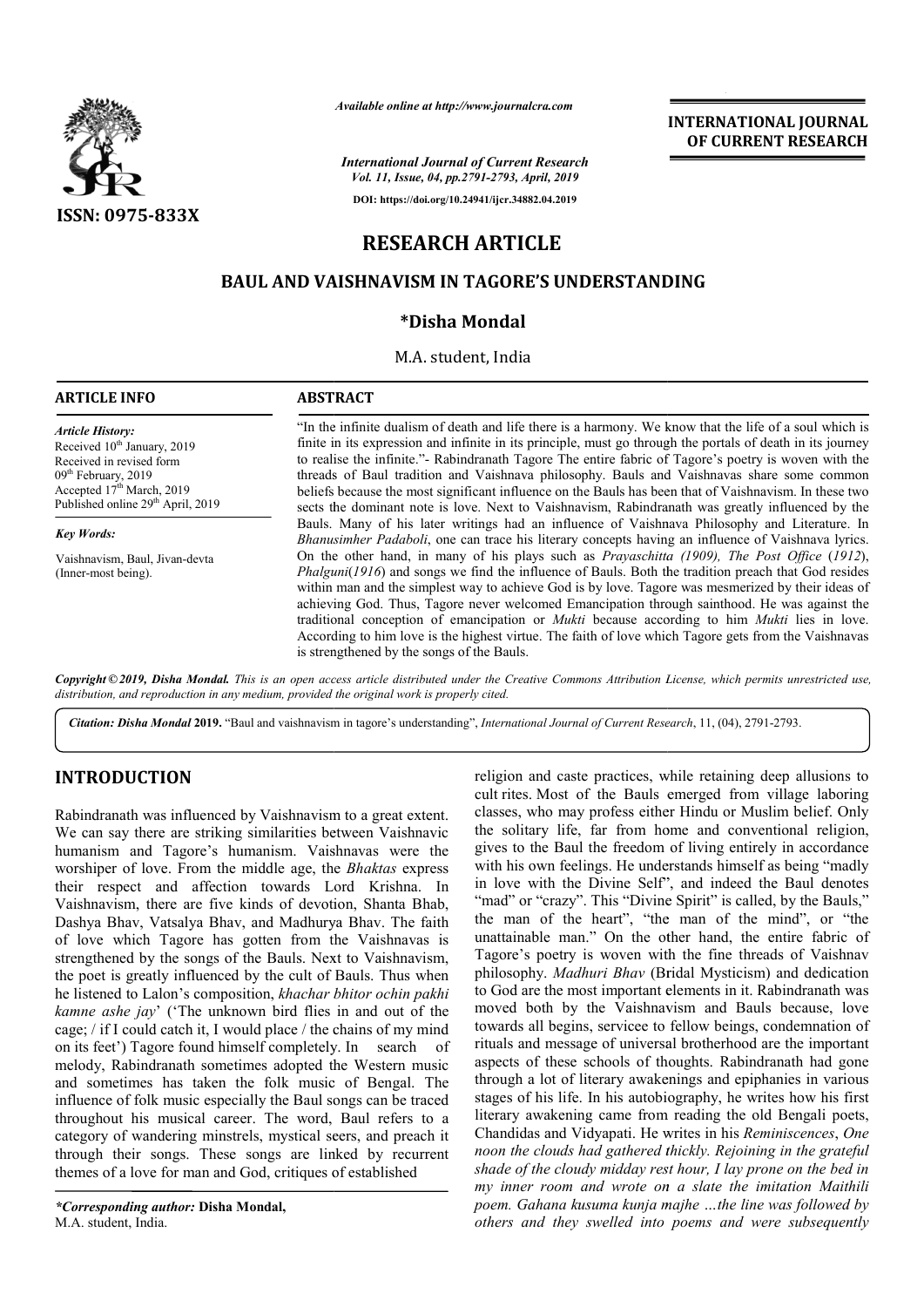

*Available online at http://www.journalcra.com*

*International Journal of Current Research Vol. 11, Issue, 04, pp.2791-2793, April, 2019*

**DOI: https://doi.org/10.24941/ijcr.34882.04.2019**

# **RESEARCH ARTICLE**

# **BAUL AND VAISHNAVISM IN TAGORE'S UNDERSTANDING**

## **\*Disha Mondal**

M.A. student, India

## **INTERNATIONAL JOURNAL OF CURRENT RESEARCH**

**ARTICLE INFO ABSTRACT**

Received 10<sup>th</sup> January, 2019 Received in revised form 09<sup>th</sup> February, 2019 Accepted 17<sup>th</sup> March, 2019 Published online 29<sup>th</sup> April, 2019

Vaishnavism, Baul, Jivan-devta

*Article History:*

*Key Words:*

(Inner-most being).

"In the infinite dualism of death and life there is a harmony. We know that the life of a soul which is finite in its expression and infinite in its principle, must go through the portals of death in its journey to realise the infinite." Rabindranath Tagore The entire fabric of Tagore's poetry is woven with the threads of Baul tradition and Vaishnava philosophy. Bauls and Vaishnavas share some common beliefs because the most significant influence on the Bauls has been that of Vaishnavism. In these two sects the dominant note is love. Next to Vaishnavism, Rabindranath was Bauls. Many of his later writings had an influence of Vaishnava Philosophy and Literature. In *Bhanusimher Padaboli* , one can trace his literary concepts having an influence of Vaishnava lyrics. Bauls. Many of his later writings had an influence of Vaishnava Philosophy and Literature. In *Bhanusimher Padaboli*, one can trace his literary concepts having an influence of Vaishnava lyrics. On the other hand, in many *Phalguni*(1916) and songs we find the influence of Bauls. Both the tradition preach that God resides within man and the simplest way to achieve God is by love. Tagore was mesmerized by their ideas of achieving God. Thus, Tagore never welcomed Emancipation through sainthood. He was against the within man and the simplest way to achieve God is by love. Tagore was mesmerized by their ideas of achieving God. Thus, Tagore never welcomed Emancipation through sainthood. He was against the traditional conception of ema According to him love is the highest virtue. The faith of love which Tagore gets from the Vaishnavas is strengthened by the songs of the Bauls. "In the infinite dualism of death and life there is a harmony. We know that the life of a soul which is finite in its expression and infinite in its principle, must go through the portals of death in its journey to realise

Copyright © 2019, Disha Mondal. This is an open access article distributed under the Creative Commons Attribution License, which permits unrestricted use, *distribution, and reproduction in any medium, provided the original work is properly cited.*

Citation: Disha Mondal 2019. "Baul and vaishnavism in tagore's understanding", *International Journal of Current Research*, 11, (04), 2791-2793.

### **INTRODUCTION**

Rabindranath was influenced by Vaishnavism to a great extent. We can say there are striking similarities between Vaishnavic humanism and Tagore's humanism. Vaishnavas were the worshiper of love. From the middle age, the *Bhaktas* express their respect and affection towards Lord Krishna. In Vaishnavism, there are five kinds of devotion, Shanta Bhab, Dashya Bhav, Vatsalya Bhav, and Madhurya Bhav. The faith of love which Tagore has gotten from the Vaishnavas is strengthened by the songs of the Bauls. Next to Vaishnavism, the poet is greatly influenced by the cult of Bauls. Thus when he listened to Lalon's composition, *khachar bhitor ochin pakhi kamne ashe jay*' ('The unknown bird flies in and out of the cage; / if I could catch it, I would place / the chains of my mind on its feet') Tagore found himself completely. In search of melody, Rabindranath sometimes adopted the Western music and sometimes has taken the folk music of Bengal. The influence of folk music especially the Baul songs can be traced throughout his musical career. The word, Baul refers to a category of wandering minstrels, mystical seers, and preach it through their songs. These songs are linked by recurrent themes of a love for man and God, critiques of established

religion and caste practices, while retaining deep allusions to cult rites. Most of the Bauls emerged from village laboring classes, who may profess either Hindu or Muslim belief. Only the solitary life, far from home and conventional religion, gives to the Baul the freedom of living entirely in accordance with his own feelings. He understands himself as being "madly in love with the Divine Self", and indeed the Baul denotes "mad" or "crazy". This "Divine Spirit" is called, by the Bauls," the man of the heart", "the man of the mind", or "the unattainable man." On the other hand, the entire fabric of Tagore's poetry is woven with the fine threads of Vaishnav philosophy. *Madhuri Bhav* (Bridal Mysticism) and dedication to God are the most important elements in it. Rabindranath was moved both by the Vaishnavism and Bauls because, love towards all begins, servicee to fellow beings, condemnation of rituals and message of universal brotherhood are the important aspects of these schools of thoughts. Rabindranath had gone through a lot of literary awakenings and epiphanies in various stages of his life. In his autobiography, he writes how his first literary awakening came from reading the old Bengali poets, Chandidas and Vidyapati. He writes in his *Reminiscences*, One *noon the clouds had gathered thickly. Rejoining in the grateful shade of the cloudy midday rest hour, I lay prone on the bed in my inner room and wrote on a slate the imitation Maithili poem. Gahana kusuma kunja majhe …the line was followed by others and they swelled into poems and were subsequently*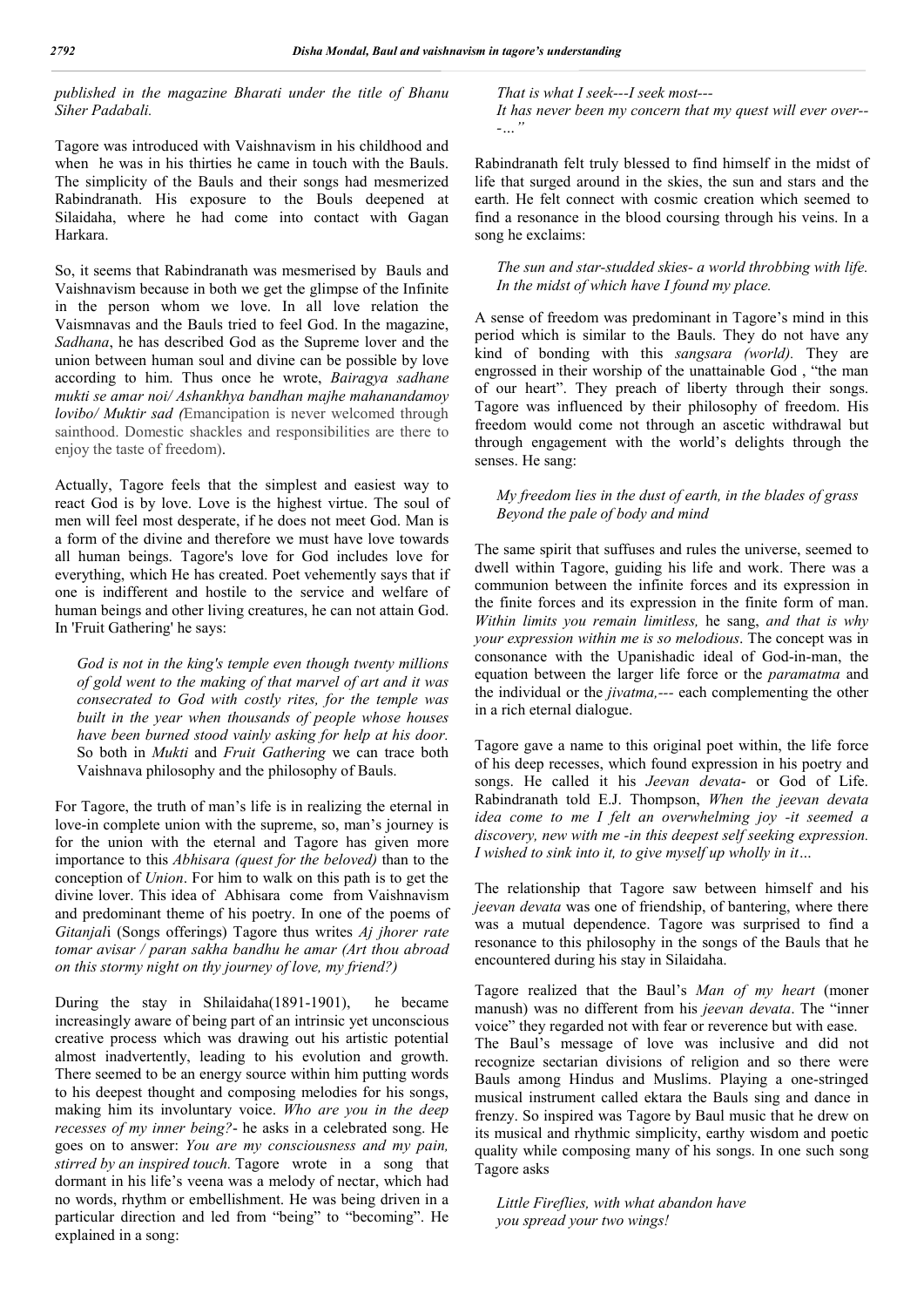### *published in the magazine Bharati under the title of Bhanu Siher Padabali.*

Tagore was introduced with Vaishnavism in his childhood and when he was in his thirties he came in touch with the Bauls. The simplicity of the Bauls and their songs had mesmerized Rabindranath. His exposure to the Bouls deepened at Silaidaha, where he had come into contact with Gagan Harkara.

So, it seems that Rabindranath was mesmerised by Bauls and Vaishnavism because in both we get the glimpse of the Infinite in the person whom we love. In all love relation the Vaismnavas and the Bauls tried to feel God. In the magazine, *Sadhana*, he has described God as the Supreme lover and the union between human soul and divine can be possible by love according to him. Thus once he wrote, *Bairagya sadhane mukti se amar noi/ Ashankhya bandhan majhe mahanandamoy lovibo/ Muktir sad (*Emancipation is never welcomed through sainthood. Domestic shackles and responsibilities are there to enjoy the taste of freedom).

Actually, Tagore feels that the simplest and easiest way to react God is by love. Love is the highest virtue. The soul of men will feel most desperate, if he does not meet God. Man is a form of the divine and therefore we must have love towards all human beings. Tagore's love for God includes love for everything, which He has created. Poet vehemently says that if one is indifferent and hostile to the service and welfare of human beings and other living creatures, he can not attain God. In 'Fruit Gathering' he says:

*God is not in the king's temple even though twenty millions of gold went to the making of that marvel of art and it was consecrated to God with costly rites, for the temple was built in the year when thousands of people whose houses have been burned stood vainly asking for help at his door.* So both in *Mukti* and *Fruit Gathering* we can trace both Vaishnava philosophy and the philosophy of Bauls.

For Tagore, the truth of man's life is in realizing the eternal in love-in complete union with the supreme, so, man's journey is for the union with the eternal and Tagore has given more importance to this *Abhisara (quest for the beloved)* than to the conception of *Union*. For him to walk on this path is to get the divine lover. This idea of Abhisara come from Vaishnavism and predominant theme of his poetry. In one of the poems of *Gitanjal*i (Songs offerings) Tagore thus writes *Aj jhorer rate tomar avisar / paran sakha bandhu he amar (Art thou abroad on this stormy night on thy journey of love, my friend?)*

During the stay in Shilaidaha(1891-1901), he became increasingly aware of being part of an intrinsic yet unconscious creative process which was drawing out his artistic potential almost inadvertently, leading to his evolution and growth. There seemed to be an energy source within him putting words to his deepest thought and composing melodies for his songs, making him its involuntary voice. *Who are you in the deep recesses of my inner being?*- he asks in a celebrated song. He goes on to answer: *You are my consciousness and my pain, stirred by an inspired touch.* Tagore wrote in a song that dormant in his life's veena was a melody of nectar, which had no words, rhythm or embellishment. He was being driven in a particular direction and led from "being" to "becoming". He explained in a song:

*That is what I seek---I seek most---*

*It has never been my concern that my quest will ever over-- -…"*

Rabindranath felt truly blessed to find himself in the midst of life that surged around in the skies, the sun and stars and the earth. He felt connect with cosmic creation which seemed to find a resonance in the blood coursing through his veins. In a song he exclaims:

*The sun and star-studded skies- a world throbbing with life. In the midst of which have I found my place.*

A sense of freedom was predominant in Tagore's mind in this period which is similar to the Bauls. They do not have any kind of bonding with this *sangsara (world).* They are engrossed in their worship of the unattainable God , "the man of our heart". They preach of liberty through their songs. Tagore was influenced by their philosophy of freedom. His freedom would come not through an ascetic withdrawal but through engagement with the world's delights through the senses. He sang:

### *My freedom lies in the dust of earth, in the blades of grass Beyond the pale of body and mind*

The same spirit that suffuses and rules the universe, seemed to dwell within Tagore, guiding his life and work. There was a communion between the infinite forces and its expression in the finite forces and its expression in the finite form of man. *Within limits you remain limitless,* he sang, *and that is why your expression within me is so melodious*. The concept was in consonance with the Upanishadic ideal of God-in-man, the equation between the larger life force or the *paramatma* and the individual or the *jivatma,---* each complementing the other in a rich eternal dialogue.

Tagore gave a name to this original poet within, the life force of his deep recesses, which found expression in his poetry and songs. He called it his *Jeevan devata*- or God of Life. Rabindranath told E.J. Thompson, *When the jeevan devata idea come to me I felt an overwhelming joy -it seemed a discovery, new with me -in this deepest self seeking expression. I wished to sink into it, to give myself up wholly in it…*

The relationship that Tagore saw between himself and his *jeevan devata* was one of friendship, of bantering, where there was a mutual dependence. Tagore was surprised to find a resonance to this philosophy in the songs of the Bauls that he encountered during his stay in Silaidaha.

Tagore realized that the Baul's *Man of my heart* (moner manush) was no different from his *jeevan devata*. The "inner voice" they regarded not with fear or reverence but with ease. The Baul's message of love was inclusive and did not recognize sectarian divisions of religion and so there were Bauls among Hindus and Muslims. Playing a one-stringed musical instrument called ektara the Bauls sing and dance in frenzy. So inspired was Tagore by Baul music that he drew on its musical and rhythmic simplicity, earthy wisdom and poetic quality while composing many of his songs. In one such song Tagore asks

*Little Fireflies, with what abandon have you spread your two wings!*